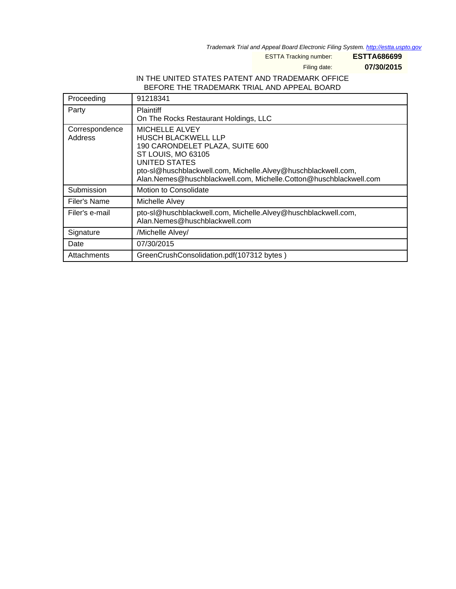Trademark Trial and Appeal Board Electronic Filing System. <http://estta.uspto.gov>

ESTTA Tracking number: **ESTTA686699**

Filing date: **07/30/2015**

## IN THE UNITED STATES PATENT AND TRADEMARK OFFICE BEFORE THE TRADEMARK TRIAL AND APPEAL BOARD

| Proceeding                | 91218341                                                                                                                                                                                                                                                            |
|---------------------------|---------------------------------------------------------------------------------------------------------------------------------------------------------------------------------------------------------------------------------------------------------------------|
| Party                     | <b>Plaintiff</b><br>On The Rocks Restaurant Holdings, LLC                                                                                                                                                                                                           |
| Correspondence<br>Address | <b>MICHELLE ALVEY</b><br><b>HUSCH BLACKWELL LLP</b><br>190 CARONDELET PLAZA, SUITE 600<br>ST LOUIS, MO 63105<br>UNITED STATES<br>pto-sl@huschblackwell.com, Michelle.Alvey@huschblackwell.com,<br>Alan.Nemes@huschblackwell.com, Michelle.Cotton@huschblackwell.com |
| Submission                | Motion to Consolidate                                                                                                                                                                                                                                               |
| Filer's Name              | Michelle Alvey                                                                                                                                                                                                                                                      |
| Filer's e-mail            | pto-sl@huschblackwell.com, Michelle.Alvey@huschblackwell.com,<br>Alan.Nemes@huschblackwell.com                                                                                                                                                                      |
| Signature                 | /Michelle Alvey/                                                                                                                                                                                                                                                    |
| Date                      | 07/30/2015                                                                                                                                                                                                                                                          |
| Attachments               | GreenCrushConsolidation.pdf(107312 bytes)                                                                                                                                                                                                                           |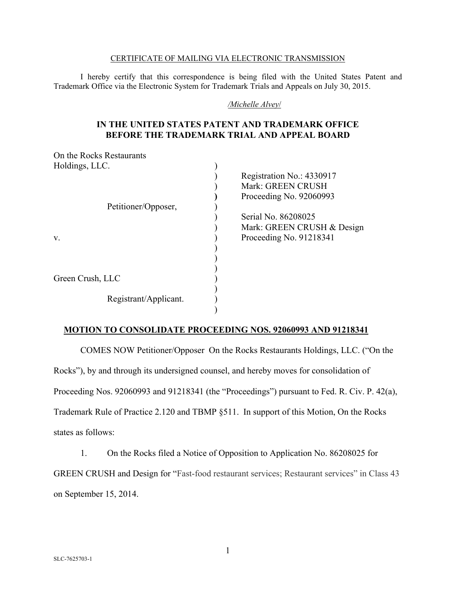#### CERTIFICATE OF MAILING VIA ELECTRONIC TRANSMISSION

I hereby certify that this correspondence is being filed with the United States Patent and Trademark Office via the Electronic System for Trademark Trials and Appeals on July 30, 2015.

#### */Michelle Alvey*/

## **IN THE UNITED STATES PATENT AND TRADEMARK OFFICE BEFORE THE TRADEMARK TRIAL AND APPEAL BOARD**

| On the Rocks Restaurants |                            |
|--------------------------|----------------------------|
| Holdings, LLC.           |                            |
|                          | Registration No.: 4330917  |
|                          | Mark: GREEN CRUSH          |
|                          | Proceeding No. 92060993    |
| Petitioner/Opposer,      |                            |
|                          | Serial No. 86208025        |
|                          | Mark: GREEN CRUSH & Design |
| V.                       | Proceeding No. 91218341    |
|                          |                            |
|                          |                            |
|                          |                            |
| Green Crush, LLC         |                            |
|                          |                            |
| Registrant/Applicant.    |                            |
|                          |                            |

## **MOTION TO CONSOLIDATE PROCEEDING NOS. 92060993 AND 91218341**

COMES NOW Petitioner/Opposer On the Rocks Restaurants Holdings, LLC. ("On the Rocks"), by and through its undersigned counsel, and hereby moves for consolidation of Proceeding Nos. 92060993 and 91218341 (the "Proceedings") pursuant to Fed. R. Civ. P. 42(a), Trademark Rule of Practice 2.120 and TBMP §511. In support of this Motion, On the Rocks states as follows:

1. On the Rocks filed a Notice of Opposition to Application No. 86208025 for GREEN CRUSH and Design for "Fast-food restaurant services; Restaurant services" in Class 43 on September 15, 2014.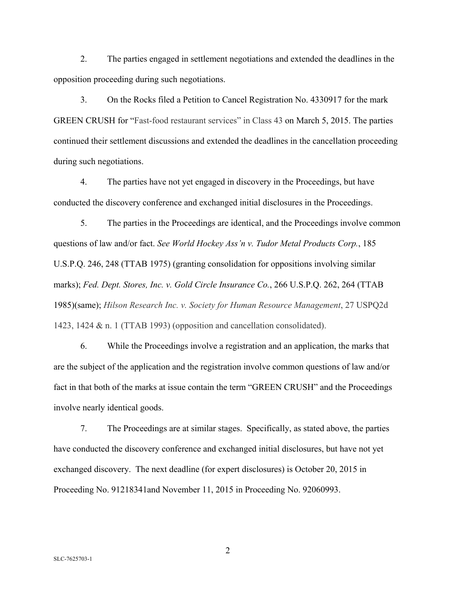2. The parties engaged in settlement negotiations and extended the deadlines in the opposition proceeding during such negotiations.

3. On the Rocks filed a Petition to Cancel Registration No. 4330917 for the mark GREEN CRUSH for "Fast-food restaurant services" in Class 43 on March 5, 2015. The parties continued their settlement discussions and extended the deadlines in the cancellation proceeding during such negotiations.

4. The parties have not yet engaged in discovery in the Proceedings, but have conducted the discovery conference and exchanged initial disclosures in the Proceedings.

5. The parties in the Proceedings are identical, and the Proceedings involve common questions of law and/or fact. *See World Hockey Ass'n v. Tudor Metal Products Corp.*, 185 U.S.P.Q. 246, 248 (TTAB 1975) (granting consolidation for oppositions involving similar marks); *Fed. Dept. Stores, Inc. v. Gold Circle Insurance Co.*, 266 U.S.P.Q. 262, 264 (TTAB 1985)(same); *Hilson Research Inc. v. Society for Human Resource Management*, 27 USPQ2d 1423, 1424 & n. 1 (TTAB 1993) (opposition and cancellation consolidated).

6. While the Proceedings involve a registration and an application, the marks that are the subject of the application and the registration involve common questions of law and/or fact in that both of the marks at issue contain the term "GREEN CRUSH" and the Proceedings involve nearly identical goods.

7. The Proceedings are at similar stages. Specifically, as stated above, the parties have conducted the discovery conference and exchanged initial disclosures, but have not yet exchanged discovery. The next deadline (for expert disclosures) is October 20, 2015 in Proceeding No. 91218341and November 11, 2015 in Proceeding No. 92060993.

2